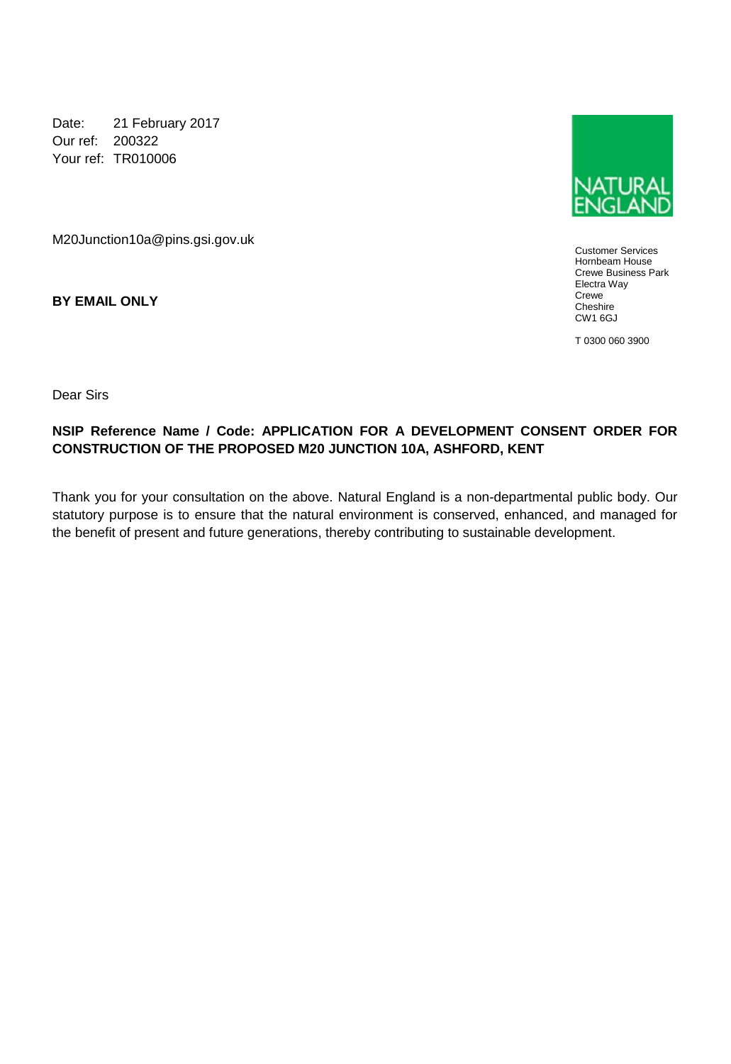Date: 21 February 2017 Our ref: 200322 Your ref: TR010006

M20Junction10a@pins.gsi.gov.uk

**BY EMAIL ONLY**



Customer Services Hornbeam House Crewe Business Park Electra Way Crewe Cheshire CW1 6GJ

T 0300 060 3900

Dear Sirs

## **NSIP Reference Name / Code: APPLICATION FOR A DEVELOPMENT CONSENT ORDER FOR CONSTRUCTION OF THE PROPOSED M20 JUNCTION 10A, ASHFORD, KENT**

Thank you for your consultation on the above. Natural England is a non-departmental public body. Our statutory purpose is to ensure that the natural environment is conserved, enhanced, and managed for the benefit of present and future generations, thereby contributing to sustainable development.